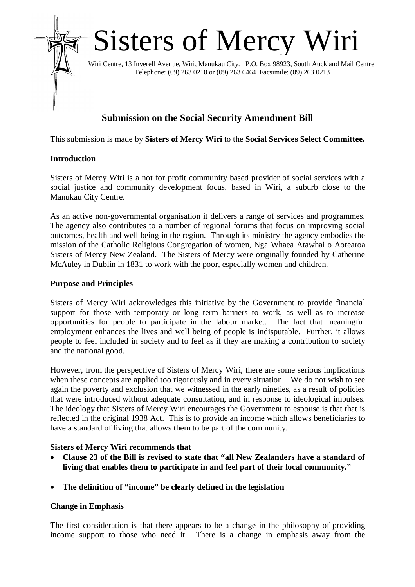

# **Submission on the Social Security Amendment Bill**

This submission is made by **Sisters of Mercy Wiri** to the **Social Services Select Committee.**

## **Introduction**

Sisters of Mercy Wiri is a not for profit community based provider of social services with a social justice and community development focus, based in Wiri, a suburb close to the Manukau City Centre.

As an active non-governmental organisation it delivers a range of services and programmes. The agency also contributes to a number of regional forums that focus on improving social outcomes, health and well being in the region. Through its ministry the agency embodies the mission of the Catholic Religious Congregation of women, Nga Whaea Atawhai o Aotearoa Sisters of Mercy New Zealand. The Sisters of Mercy were originally founded by Catherine McAuley in Dublin in 1831 to work with the poor, especially women and children.

# **Purpose and Principles**

Sisters of Mercy Wiri acknowledges this initiative by the Government to provide financial support for those with temporary or long term barriers to work, as well as to increase opportunities for people to participate in the labour market. The fact that meaningful employment enhances the lives and well being of people is indisputable. Further, it allows people to feel included in society and to feel as if they are making a contribution to society and the national good.

However, from the perspective of Sisters of Mercy Wiri, there are some serious implications when these concepts are applied too rigorously and in every situation. We do not wish to see again the poverty and exclusion that we witnessed in the early nineties, as a result of policies that were introduced without adequate consultation, and in response to ideological impulses. The ideology that Sisters of Mercy Wiri encourages the Government to espouse is that that is reflected in the original 1938 Act. This is to provide an income which allows beneficiaries to have a standard of living that allows them to be part of the community.

# **Sisters of Mercy Wiri recommends that**

- **Clause 23 of the Bill is revised to state that "all New Zealanders have a standard of living that enables them to participate in and feel part of their local community."**
- **The definition of "income" be clearly defined in the legislation**

#### **Change in Emphasis**

The first consideration is that there appears to be a change in the philosophy of providing income support to those who need it. There is a change in emphasis away from the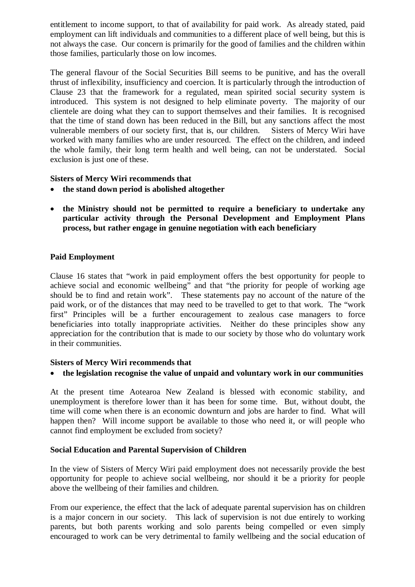entitlement to income support, to that of availability for paid work. As already stated, paid employment can lift individuals and communities to a different place of well being, but this is not always the case. Our concern is primarily for the good of families and the children within those families, particularly those on low incomes.

The general flavour of the Social Securities Bill seems to be punitive, and has the overall thrust of inflexibility, insufficiency and coercion. It is particularly through the introduction of Clause 23 that the framework for a regulated, mean spirited social security system is introduced. This system is not designed to help eliminate poverty. The majority of our clientele are doing what they can to support themselves and their families. It is recognised that the time of stand down has been reduced in the Bill, but any sanctions affect the most vulnerable members of our society first, that is, our children. Sisters of Mercy Wiri have worked with many families who are under resourced. The effect on the children, and indeed the whole family, their long term health and well being, can not be understated. Social exclusion is just one of these.

## **Sisters of Mercy Wiri recommends that**

- **the stand down period is abolished altogether**
- **the Ministry should not be permitted to require a beneficiary to undertake any particular activity through the Personal Development and Employment Plans process, but rather engage in genuine negotiation with each beneficiary**

# **Paid Employment**

Clause 16 states that "work in paid employment offers the best opportunity for people to achieve social and economic wellbeing" and that "the priority for people of working age should be to find and retain work". These statements pay no account of the nature of the paid work, or of the distances that may need to be travelled to get to that work. The "work first" Principles will be a further encouragement to zealous case managers to force beneficiaries into totally inappropriate activities. Neither do these principles show any appreciation for the contribution that is made to our society by those who do voluntary work in their communities.

#### **Sisters of Mercy Wiri recommends that**

# **the legislation recognise the value of unpaid and voluntary work in our communities**

At the present time Aotearoa New Zealand is blessed with economic stability, and unemployment is therefore lower than it has been for some time. But, without doubt, the time will come when there is an economic downturn and jobs are harder to find. What will happen then? Will income support be available to those who need it, or will people who cannot find employment be excluded from society?

#### **Social Education and Parental Supervision of Children**

In the view of Sisters of Mercy Wiri paid employment does not necessarily provide the best opportunity for people to achieve social wellbeing, nor should it be a priority for people above the wellbeing of their families and children.

From our experience, the effect that the lack of adequate parental supervision has on children is a major concern in our society. This lack of supervision is not due entirely to working parents, but both parents working and solo parents being compelled or even simply encouraged to work can be very detrimental to family wellbeing and the social education of